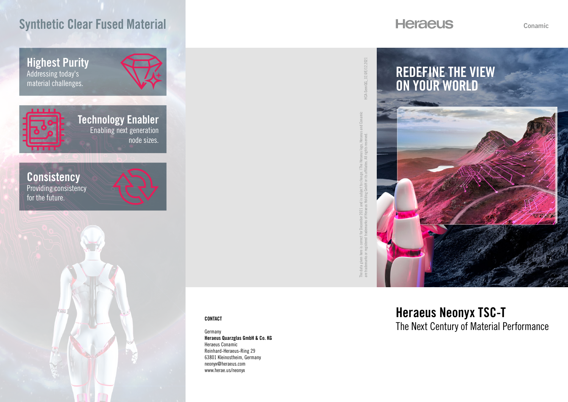# Synthetic Clear Fused Material